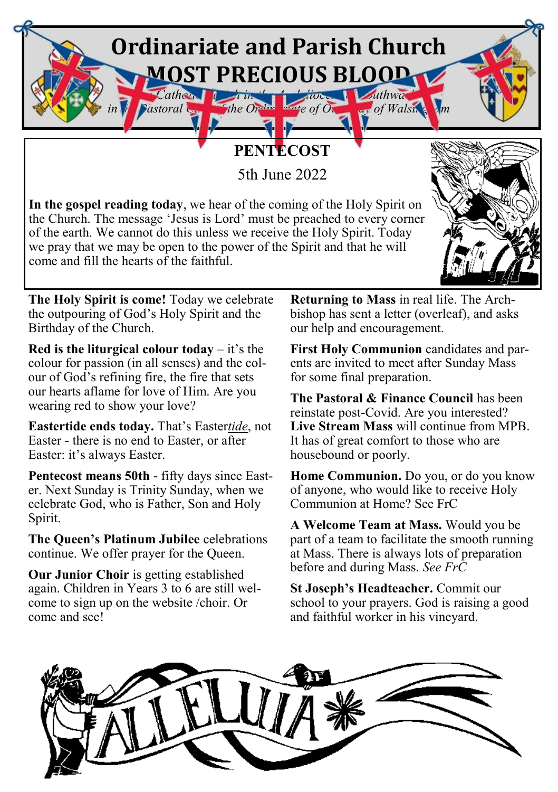## **Ordinariate and Parish Church MOST PRECIOUS BLOOD** *Catholic Parish in the Architecture of Order Lawrence of Wal*

## **PENTECOST**

5th June 2022

**In the gospel reading today**, we hear of the coming of the Holy Spirit on the Church. The message 'Jesus is Lord' must be preached to every corner of the earth. We cannot do this unless we receive the Holy Spirit. Today we pray that we may be open to the power of the Spirit and that he will come and fill the hearts of the faithful.



**The Holy Spirit is come!** Today we celebrate the outpouring of God's Holy Spirit and the Birthday of the Church.

**Red is the liturgical colour today** – it's the colour for passion (in all senses) and the colour of God's refining fire, the fire that sets our hearts aflame for love of Him. Are you wearing red to show your love?

**Eastertide ends today.** That's Easter*tide*, not Easter - there is no end to Easter, or after Easter: it's always Easter.

**Pentecost means 50th** - fifty days since Easter. Next Sunday is Trinity Sunday, when we celebrate God, who is Father, Son and Holy Spirit.

**The Queen's Platinum Jubilee** celebrations continue. We offer prayer for the Queen.

**Our Junior Choir** is getting established again. Children in Years 3 to 6 are still welcome to sign up on the website /choir. Or come and see!

**Returning to Mass** in real life. The Archbishop has sent a letter (overleaf), and asks our help and encouragement.

*in the Pastoral Care of the Ordinariate of Our Lady of Walsingham*

**First Holy Communion** candidates and parents are invited to meet after Sunday Mass for some final preparation.

**The Pastoral & Finance Council** has been reinstate post-Covid. Are you interested? **Live Stream Mass** will continue from MPB. It has of great comfort to those who are housebound or poorly.

**Home Communion.** Do you, or do you know of anyone, who would like to receive Holy Communion at Home? See FrC

**A Welcome Team at Mass.** Would you be part of a team to facilitate the smooth running at Mass. There is always lots of preparation before and during Mass. *See FrC* 

**St Joseph's Headteacher.** Commit our school to your prayers. God is raising a good and faithful worker in his vineyard.

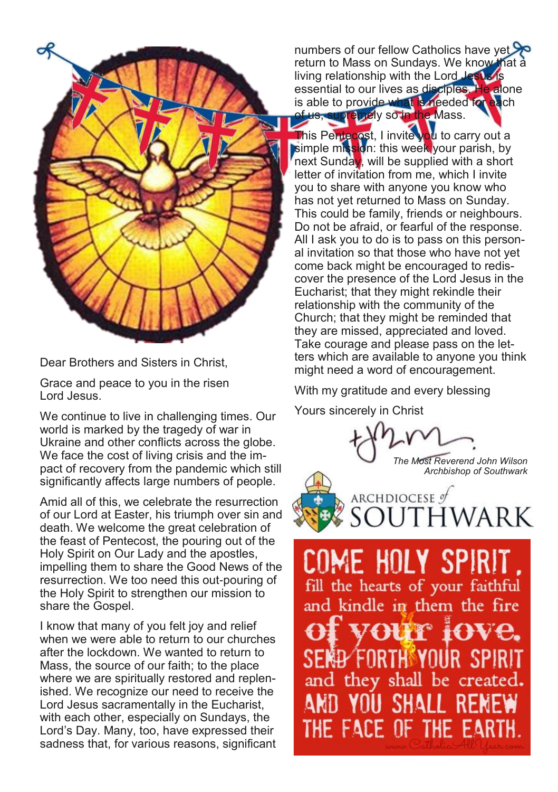

Dear Brothers and Sisters in Christ,

Grace and peace to you in the risen Lord Jesus.

We continue to live in challenging times. Our world is marked by the tragedy of war in Ukraine and other conflicts across the globe. We face the cost of living crisis and the impact of recovery from the pandemic which still significantly affects large numbers of people.

Amid all of this, we celebrate the resurrection of our Lord at Easter, his triumph over sin and death. We welcome the great celebration of the feast of Pentecost, the pouring out of the Holy Spirit on Our Lady and the apostles, impelling them to share the Good News of the resurrection. We too need this out-pouring of the Holy Spirit to strengthen our mission to share the Gospel.

I know that many of you felt joy and relief when we were able to return to our churches after the lockdown. We wanted to return to Mass, the source of our faith; to the place where we are spiritually restored and replenished. We recognize our need to receive the Lord Jesus sacramentally in the Eucharist, with each other, especially on Sundays, the Lord's Day. Many, too, have expressed their sadness that, for various reasons, significant

numbers of our fellow Catholics have yet return to Mass on Sundays. We know that a living relationship with the Lord Jesus is essential to our lives as disciples. He alone is able to provide what is needed for each supremely so in the Mass.

This Pentecost, I invite you to carry out a simple mission: this week your parish, by next Sunday, will be supplied with a short letter of invitation from me, which I invite you to share with anyone you know who has not yet returned to Mass on Sunday. This could be family, friends or neighbours. Do not be afraid, or fearful of the response. All I ask you to do is to pass on this personal invitation so that those who have not yet come back might be encouraged to rediscover the presence of the Lord Jesus in the Eucharist; that they might rekindle their relationship with the community of the Church; that they might be reminded that they are missed, appreciated and loved. Take courage and please pass on the letters which are available to anyone you think might need a word of encouragement.

With my gratitude and every blessing

Yours sincerely in Christ

*The Most Reverend John Wilson Archbishop of Southwark*



COME HOLY SPIRIT fill the hearts of your faithful and kindle in them the fire vour iove. SEND FORTH YOUR SPIRIT and they shall be created. AND YOU SHALL RENEW THE FACE OF THE EARTH.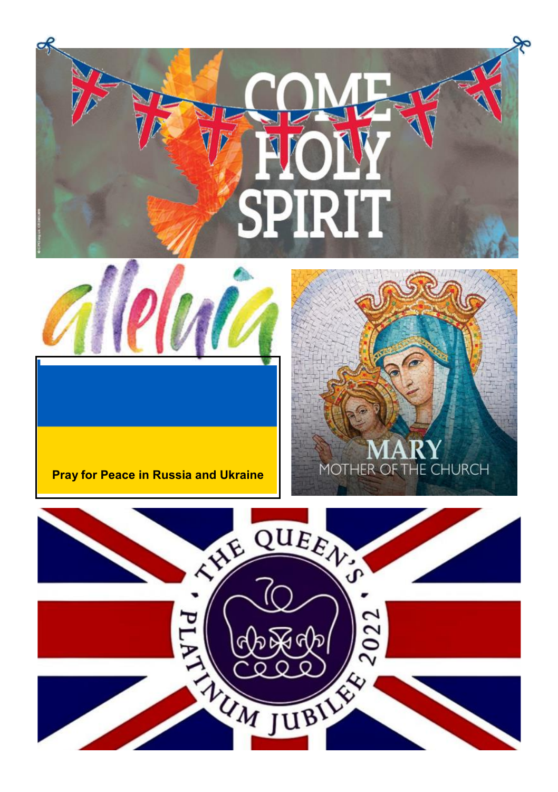